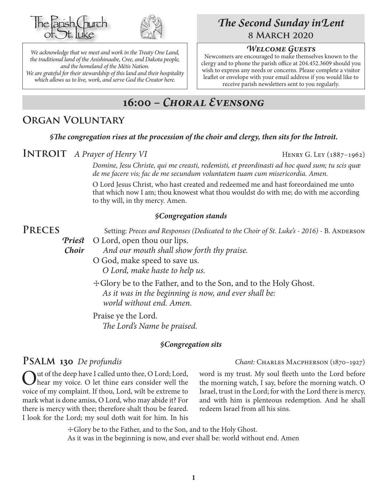



*We acknowledge that we meet and work in the Treaty One Land, the traditional land of the Anishinaabe, Cree, and Dakota people, and the homeland of the Métis Nation. We are grateful for their stewardship of this land and their hospitality which allows us to live, work, and serve God the Creator here.*

# *The Second Sunday inLent* **8 March 2020**

#### *Welcome Guests*

Newcomers are encouraged to make themselves known to the clergy and to phone the parish office at 204.452.3609 should you wish to express any needs or concerns. Please complete a visitor leaflet or envelope with your email address if you would like to receive parish newsletters sent to you regularly.

# **16:00 –** *Choral Evensong*

## **Organ Voluntary**

*§The congregation rises at the procession of the choir and clergy, then sits for the Introit.*

**INTROIT** *A Prayer of Henry VI* HENRY G. LEY (1887–1962)

*Domine, Jesu Christe, qui me creasti, redemisti, et preordinasti ad hoc quod sum; tu scis quæ de me facere vis; fac de me secundum voluntatem tuam cum misericordia. Amen.*

O Lord Jesus Christ, who hast created and redeemed me and hast foreordained me unto that which now I am; thou knowest what thou wouldst do with me; do with me according to thy will, in thy mercy. Amen.

#### *§Congregation stands*

**PRECES** Setting: *Preces and Responses (Dedicated to the Choir of St. Luke's - 2016) - B. ANDERSON Priest* O Lord, open thou our lips.

*Choir And our mouth shall show forth thy praise.*

O God, make speed to save us. *O Lord, make haste to help us.*

 ☩Glory be to the Father, and to the Son, and to the Holy Ghost. *As it was in the beginning is now, and ever shall be: world without end. Amen.*

Praise ye the Lord. *The Lord's Name be praised.*

#### *§Congregation sits*

Out of the deep have I called unto thee, O Lord; Lord, hear my voice. O let thine ears consider well the voice of my complaint. If thou, Lord, wilt be extreme to mark what is done amiss, O Lord, who may abide it? For there is mercy with thee; therefore shalt thou be feared. I look for the Lord; my soul doth wait for him. In his

word is my trust. My soul fleeth unto the Lord before the morning watch, I say, before the morning watch. O Israel, trust in the Lord; for with the Lord there is mercy, and with him is plenteous redemption. And he shall redeem Israel from all his sins.

☩Glory be to the Father, and to the Son, and to the Holy Ghost. As it was in the beginning is now, and ever shall be: world without end. Amen

**Psalm 130** *De profundis Chant:* Charles Macpherson (1870–1927)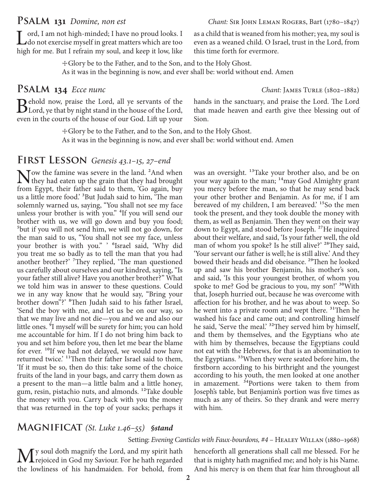Lord, I am not high-minded; I have no proud looks. I<br>do not exercise myself in great matters which are too high for me. But I refrain my soul, and keep it low, like

☩Glory be to the Father, and to the Son, and to the Holy Ghost. As it was in the beginning is now, and ever shall be: world without end. Amen

## **Psalm 134** *Ecce nunc Chant:* James Turle (1802–1882)

Behold now, praise the Lord, all ye servants of the Lord,  $\text{B}$ Lord, ye that by night stand in the house of the Lord, even in the courts of the house of our God. Lift up your

that made heaven and earth give thee blessing out of Sion.

this time forth for evermore.

☩Glory be to the Father, and to the Son, and to the Holy Ghost. As it was in the beginning is now, and ever shall be: world without end. Amen

## **First Lesson** *Genesis 43.1–15, 27–end*

Now the famine was severe in the land. <sup>2</sup>And when<br>they had eaten up the grain that they had brought<br>from Fourt, their father said to them. <sup>5</sup>Ce easing hun from Egypt, their father said to them, 'Go again, buy us a little more food.' 3But Judah said to him, 'The man solemnly warned us, saying, "You shall not see my face unless your brother is with you." 4If you will send our brother with us, we will go down and buy you food; 5but if you will not send him, we will not go down, for the man said to us, "You shall not see my face, unless your brother is with you." ' 6Israel said, 'Why did you treat me so badly as to tell the man that you had another brother?' 7They replied, 'The man questioned us carefully about ourselves and our kindred, saying, "Is your father still alive? Have you another brother?" What we told him was in answer to these questions. Could we in any way know that he would say, "Bring your brother down"?' 8Then Judah said to his father Israel, 'Send the boy with me, and let us be on our way, so that we may live and not die—you and we and also our little ones. 9I myself will be surety for him; you can hold me accountable for him. If I do not bring him back to you and set him before you, then let me bear the blame for ever. <sup>10</sup>If we had not delayed, we would now have returned twice.' <sup>11</sup>Then their father Israel said to them, 'If it must be so, then do this: take some of the choice fruits of the land in your bags, and carry them down as a present to the man—a little balm and a little honey, gum, resin, pistachio nuts, and almonds. 12Take double the money with you. Carry back with you the money that was returned in the top of your sacks; perhaps it

was an oversight. <sup>13</sup>Take your brother also, and be on your way again to the man; <sup>14</sup>may God Almighty grant you mercy before the man, so that he may send back your other brother and Benjamin. As for me, if I am bereaved of my children, I am bereaved.<sup>15</sup>So the men took the present, and they took double the money with them, as well as Benjamin. Then they went on their way down to Egypt, and stood before Joseph.<sup>27</sup>He inquired about their welfare, and said, 'Is your father well, the old man of whom you spoke? Is he still alive?' <sup>28</sup>They said, 'Your servant our father is well; he is still alive.' And they bowed their heads and did obeisance.<sup>29</sup>Then he looked up and saw his brother Benjamin, his mother's son, and said, 'Is this your youngest brother, of whom you spoke to me? God be gracious to you, my son!' <sup>30</sup>With that, Joseph hurried out, because he was overcome with affection for his brother, and he was about to weep. So he went into a private room and wept there. <sup>31</sup>Then he washed his face and came out; and controlling himself he said, 'Serve the meal.' <sup>32</sup>They served him by himself, and them by themselves, and the Egyptians who ate with him by themselves, because the Egyptians could not eat with the Hebrews, for that is an abomination to the Egyptians.<sup>33</sup>When they were seated before him, the firstborn according to his birthright and the youngest according to his youth, the men looked at one another in amazement. <sup>34</sup>Portions were taken to them from Joseph's table, but Benjamin's portion was five times as much as any of theirs. So they drank and were merry with him.

#### **Magnificat** *(St. Luke 1.46–55) §stand*

#### Setting: *Evening Canticles with Faux-bourdons,* #4 – HEALEY WILLAN (1880–1968)

My soul doth magnify the Lord, and my spirit hath<br>the projected in God my Saviour. For he hath regarded<br>the distance of his hardwards as Formhelel defeated the lowliness of his handmaiden. For behold, from

henceforth all generations shall call me blessed. For he that is mighty hath magnified me; and holy is his Name. And his mercy is on them that fear him throughout all

as a child that is weaned from his mother; yea, my soul is even as a weaned child. O Israel, trust in the Lord, from

hands in the sanctuary, and praise the Lord. The Lord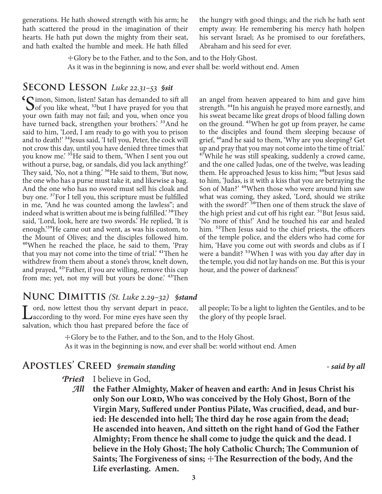generations. He hath showed strength with his arm; he hath scattered the proud in the imagination of their hearts. He hath put down the mighty from their seat, and hath exalted the humble and meek. He hath filled the hungry with good things; and the rich he hath sent empty away. He remembering his mercy hath holpen his servant Israel; As he promised to our forefathers, Abraham and his seed for ever.

☩Glory be to the Father, and to the Son, and to the Holy Ghost. As it was in the beginning is now, and ever shall be: world without end. Amen

#### **Second Lesson** *Luke 22.31–53 §sit*

'Simon, Simon, listen! Satan has demanded to sift all  $\bigcup$  of you like wheat, <sup>32</sup>but I have prayed for you that your own faith may not fail; and you, when once you have turned back, strengthen your brothers.<sup>33</sup>And he said to him, 'Lord, I am ready to go with you to prison and to death!' <sup>34</sup> Jesus said, 'I tell you, Peter, the cock will not crow this day, until you have denied three times that you know me.' <sup>35</sup>He said to them, 'When I sent you out without a purse, bag, or sandals, did you lack anything?' They said, 'No, not a thing.' <sup>36</sup>He said to them, 'But now, the one who has a purse must take it, and likewise a bag. And the one who has no sword must sell his cloak and buy one. 37For I tell you, this scripture must be fulfilled in me, "And he was counted among the lawless"; and indeed what is written about me is being fulfilled.<sup>38</sup>They said, 'Lord, look, here are two swords.' He replied, 'It is enough.'39He came out and went, as was his custom, to the Mount of Olives; and the disciples followed him. 40When he reached the place, he said to them, 'Pray that you may not come into the time of trial.' 41Then he withdrew from them about a stone's throw, knelt down, and prayed, <sup>42</sup> Father, if you are willing, remove this cup from me; yet, not my will but yours be done.<sup>43</sup>Then

an angel from heaven appeared to him and gave him strength. <sup>44</sup>In his anguish he prayed more earnestly, and his sweat became like great drops of blood falling down on the ground. 45When he got up from prayer, he came to the disciples and found them sleeping because of grief, 46and he said to them, 'Why are you sleeping? Get up and pray that you may not come into the time of trial.' <sup>47</sup>While he was still speaking, suddenly a crowd came, and the one called Judas, one of the twelve, was leading them. He approached Jesus to kiss him; <sup>48</sup>but Jesus said to him, 'Judas, is it with a kiss that you are betraying the Son of Man?' 49When those who were around him saw what was coming, they asked, 'Lord, should we strike with the sword?' <sup>50</sup>Then one of them struck the slave of the high priest and cut off his right ear. 51But Jesus said, 'No more of this!' And he touched his ear and healed him. <sup>52</sup>Then Jesus said to the chief priests, the officers of the temple police, and the elders who had come for him, 'Have you come out with swords and clubs as if I were a bandit? 53When I was with you day after day in the temple, you did not lay hands on me. But this is your hour, and the power of darkness!'

## **Nunc Dimittis** *(St. Luke 2.29–32) §stand*

Lord, now lettest thou thy servant depart in peace,<br>
Laccording to thy word. For mine eyes have seen thy salvation, which thou hast prepared before the face of

all people; To be a light to lighten the Gentiles, and to be the glory of thy people Israel.

☩Glory be to the Father, and to the Son, and to the Holy Ghost. As it was in the beginning is now, and ever shall be: world without end. Amen

## **Apostles' Creed** *§remain standing - said by all*

*Priest* I believe in God,

*All* **the Father Almighty, Maker of heaven and earth: And in Jesus Christ his only Son our LORD, Who was conceived by the Holy Ghost, Born of the Virgin Mary, Suffered under Pontius Pilate, Was crucified, dead, and buried: He descended into hell; The third day he rose again from the dead; He ascended into heaven, And sitteth on the right hand of God the Father Almighty; From thence he shall come to judge the quick and the dead. I believe in the Holy Ghost; The holy Catholic Church; The Communion of**  Saints; The Forgiveness of sins;  $\pm$ The Resurrection of the body, And the **Life everlasting. Amen.**

**3**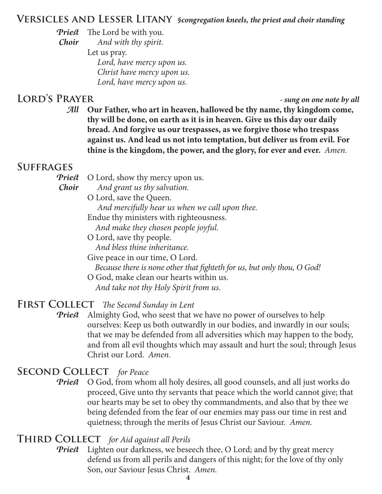## **Versicles and Lesser Litany** *§congregation kneels, the priest and choir standing*

*Priest* The Lord be with you.

*Choir And with thy spirit.*

Let us pray.  *Lord, have mercy upon us. Christ have mercy upon us. Lord, have mercy upon us.*

# **Lord's Prayer** *- sung on one note by all*

*All* **Our Father, who art in heaven, hallowed be thy name, thy kingdom come, thy will be done, on earth as it is in heaven. Give us this day our daily bread. And forgive us our trespasses, as we forgive those who trespass against us. And lead us not into temptation, but deliver us from evil. For thine is the kingdom, the power, and the glory, for ever and ever.** *Amen.*

# **Suffrages**

*Priest* O Lord, show thy mercy upon us.

*Choir And grant us thy salvation.*

O Lord, save the Queen.  *And mercifully hear us when we call upon thee.*

- Endue thy ministers with righteousness.  *And make they chosen people joyful.*
- O Lord, save thy people.  *And bless thine inheritance.*

Give peace in our time, O Lord.  *Because there is none other that fighteth for us, but only thou, O God!*

O God, make clean our hearts within us.  *And take not thy Holy Spirit from us.*

## FIRST COLLECT The Second Sunday in Lent

*Priest* Almighty God, who seest that we have no power of ourselves to help ourselves: Keep us both outwardly in our bodies, and inwardly in our souls; that we may be defended from all adversities which may happen to the body, and from all evil thoughts which may assault and hurt the soul; through Jesus Christ our Lord. *Amen.*

# **Second Collect** *for Peace*

**Priest** O God, from whom all holy desires, all good counsels, and all just works do proceed, Give unto thy servants that peace which the world cannot give; that our hearts may be set to obey thy commandments, and also that by thee we being defended from the fear of our enemies may pass our time in rest and quietness; through the merits of Jesus Christ our Saviour. *Amen.*

## **Third Collect** *for Aid against all Perils*

*Priest* Lighten our darkness, we beseech thee, O Lord; and by thy great mercy defend us from all perils and dangers of this night; for the love of thy only Son, our Saviour Jesus Christ. *Amen.*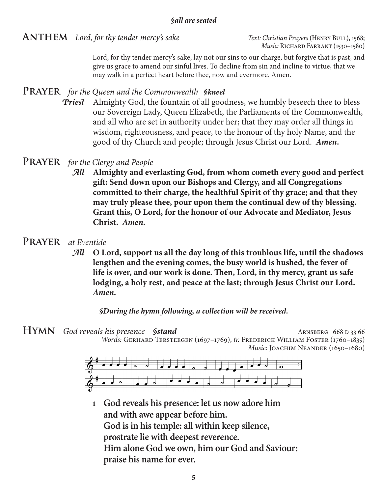**ANTHEM** *Lord, for thy tender mercy's sake Text: Christian Prayers* (HENRY BULL), 1568;

*Music*: RICHARD FARRANT (1530–1580)

Lord, for thy tender mercy's sake, lay not our sins to our charge, but forgive that is past, and give us grace to amend our sinful lives. To decline from sin and incline to virtue, that we may walk in a perfect heart before thee, now and evermore. Amen.

## **Prayer** *for the Queen and the Commonwealth §kneel*

*Priest* Almighty God, the fountain of all goodness, we humbly beseech thee to bless our Sovereign Lady, Queen Elizabeth, the Parliaments of the Commonwealth, and all who are set in authority under her; that they may order all things in wisdom, righteousness, and peace, to the honour of thy holy Name, and the good of thy Church and people; through Jesus Christ our Lord. *Amen.*

## **Prayer** *for the Clergy and People*

*All* **Almighty and everlasting God, from whom cometh every good and perfect gift: Send down upon our Bishops and Clergy, and all Congregations committed to their charge, the healthful Spirit of thy grace; and that they may truly please thee, pour upon them the continual dew of thy blessing. Grant this, O Lord, for the honour of our Advocate and Mediator, Jesus Christ.** *Amen.*

### **Prayer** *at Eventide*

*All* **O Lord, support us all the day long of this troublous life, until the shadows lengthen and the evening comes, the busy world is hushed, the fever of life is over, and our work is done. Then, Lord, in thy mercy, grant us safe lodging, a holy rest, and peace at the last; through Jesus Christ our Lord.**  *Amen.*

#### *§During the hymn following, a collection will be received.*

**HYMN** God reveals his presence *§stand* ARNSBERG 668 D 33 66 *Words:* Gerhard Tersteegen (1697–1769), *tr.* Frederick William Foster (1760–1835) *Music: JOACHIM NEANDER (1650-1680)* 



**1 God reveals his presence: let us now adore him and with awe appear before him. God is in his temple: all within keep silence, prostrate lie with deepest reverence. Him alone God we own, him our God and Saviour: praise his name for ever.**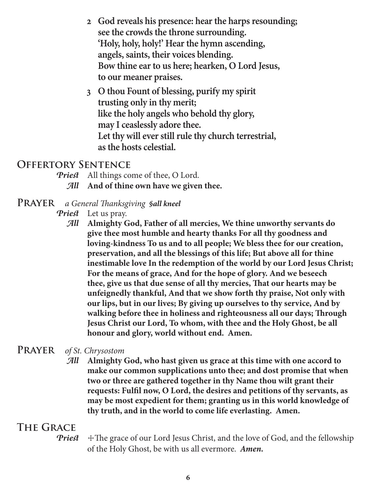- **2 God reveals his presence: hear the harps resounding; see the crowds the throne surrounding. 'Holy, holy, holy!' Hear the hymn ascending, angels, saints, their voices blending. Bow thine ear to us here; hearken, O Lord Jesus, to our meaner praises.**
- **3 O thou Fount of blessing, purify my spirit trusting only in thy merit; like the holy angels who behold thy glory, may I ceaslessly adore thee. Let thy will ever still rule thy church terrestrial, as the hosts celestial.**

## **Offertory Sentence**

- *Priest* All things come of thee, O Lord.
	- *All* **And of thine own have we given thee.**
- **Prayer** *a General Thanksgiving §all kneel*
	- *Priest* Let us pray.
		- *All* **Almighty God, Father of all mercies, We thine unworthy servants do give thee most humble and hearty thanks For all thy goodness and loving-kindness To us and to all people; We bless thee for our creation, preservation, and all the blessings of this life; But above all for thine inestimable love In the redemption of the world by our Lord Jesus Christ; For the means of grace, And for the hope of glory. And we beseech thee, give us that due sense of all thy mercies, That our hearts may be unfeignedly thankful, And that we show forth thy praise, Not only with our lips, but in our lives; By giving up ourselves to thy service, And by walking before thee in holiness and righteousness all our days; Through Jesus Christ our Lord, To whom, with thee and the Holy Ghost, be all honour and glory, world without end. Amen.**

## **Prayer** *of St. Chrysostom*

*All* **Almighty God, who hast given us grace at this time with one accord to make our common supplications unto thee; and dost promise that when two or three are gathered together in thy Name thou wilt grant their requests: Fulfil now, O Lord, the desires and petitions of thy servants, as may be most expedient for them; granting us in this world knowledge of thy truth, and in the world to come life everlasting. Amen.**

# **The Grace**

**Priest**  $\pm$  The grace of our Lord Jesus Christ, and the love of God, and the fellowship of the Holy Ghost, be with us all evermore. *Amen.*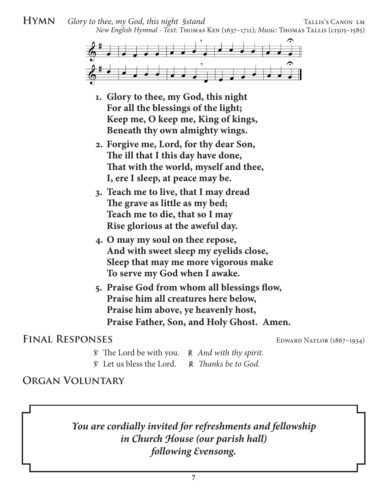### **HYMN** *Glory to thee, my God, this night §stand* TALLIS's CANON LM *New English Hymnal - Text:* Thomas Ken (1637–1711); *Music:* Thomas Tallis (c1505–1585)



- **1. Glory to thee, my God, this night For all the blessings of the light; Keep me, O keep me, King of kings, Beneath thy own almighty wings.**
- **2. Forgive me, Lord, for thy dear Son, The ill that I this day have done, That with the world, myself and thee, I, ere I sleep, at peace may be.**
- **3. Teach me to live, that I may dread The grave as little as my bed; Teach me to die, that so I may Rise glorious at the aweful day.**
- **4. O may my soul on thee repose, And with sweet sleep my eyelids close, Sleep that may me more vigorous make To serve my God when I awake.**
- **5. Praise God from whom all blessings flow, Praise him all creatures here below, Praise him above, ye heavenly host, Praise Father, Son, and Holy Ghost. Amen.**

## FINAL RESPONSES EDWARD NAYLOR (1867–1934)

- ℣ The Lord be with you. ℟ *And with thy spirit.*
- ℣ Let us bless the Lord. ℟ *Thanks be to God.*

## **Organ Voluntary**

*You are cordially invited for refreshments and fellowship in Church House (our parish hall) following Evensong.*